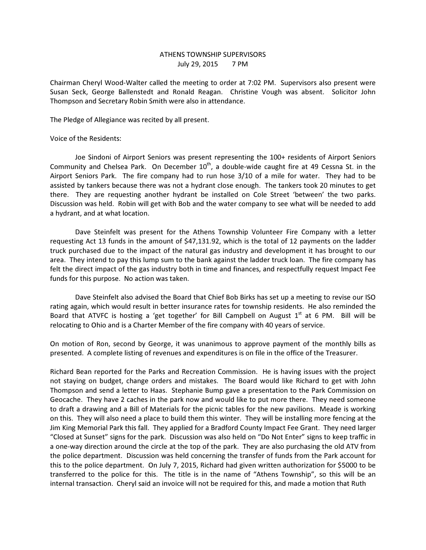## ATHENS TOWNSHIP SUPERVISORS July 29, 2015 7 PM

Chairman Cheryl Wood-Walter called the meeting to order at 7:02 PM. Supervisors also present were Susan Seck, George Ballenstedt and Ronald Reagan. Christine Vough was absent. Solicitor John Thompson and Secretary Robin Smith were also in attendance.

The Pledge of Allegiance was recited by all present.

Voice of the Residents:

 Joe Sindoni of Airport Seniors was present representing the 100+ residents of Airport Seniors Community and Chelsea Park. On December  $10<sup>th</sup>$ , a double-wide caught fire at 49 Cessna St. in the Airport Seniors Park. The fire company had to run hose 3/10 of a mile for water. They had to be assisted by tankers because there was not a hydrant close enough. The tankers took 20 minutes to get there. They are requesting another hydrant be installed on Cole Street 'between' the two parks. Discussion was held. Robin will get with Bob and the water company to see what will be needed to add a hydrant, and at what location.

 Dave Steinfelt was present for the Athens Township Volunteer Fire Company with a letter requesting Act 13 funds in the amount of \$47,131.92, which is the total of 12 payments on the ladder truck purchased due to the impact of the natural gas industry and development it has brought to our area. They intend to pay this lump sum to the bank against the ladder truck loan. The fire company has felt the direct impact of the gas industry both in time and finances, and respectfully request Impact Fee funds for this purpose. No action was taken.

 Dave Steinfelt also advised the Board that Chief Bob Birks has set up a meeting to revise our ISO rating again, which would result in better insurance rates for township residents. He also reminded the Board that ATVFC is hosting a 'get together' for Bill Campbell on August  $1<sup>st</sup>$  at 6 PM. Bill will be relocating to Ohio and is a Charter Member of the fire company with 40 years of service.

On motion of Ron, second by George, it was unanimous to approve payment of the monthly bills as presented. A complete listing of revenues and expenditures is on file in the office of the Treasurer.

Richard Bean reported for the Parks and Recreation Commission. He is having issues with the project not staying on budget, change orders and mistakes. The Board would like Richard to get with John Thompson and send a letter to Haas. Stephanie Bump gave a presentation to the Park Commission on Geocache. They have 2 caches in the park now and would like to put more there. They need someone to draft a drawing and a Bill of Materials for the picnic tables for the new pavilions. Meade is working on this. They will also need a place to build them this winter. They will be installing more fencing at the Jim King Memorial Park this fall. They applied for a Bradford County Impact Fee Grant. They need larger "Closed at Sunset" signs for the park. Discussion was also held on "Do Not Enter" signs to keep traffic in a one-way direction around the circle at the top of the park. They are also purchasing the old ATV from the police department. Discussion was held concerning the transfer of funds from the Park account for this to the police department. On July 7, 2015, Richard had given written authorization for \$5000 to be transferred to the police for this. The title is in the name of "Athens Township", so this will be an internal transaction. Cheryl said an invoice will not be required for this, and made a motion that Ruth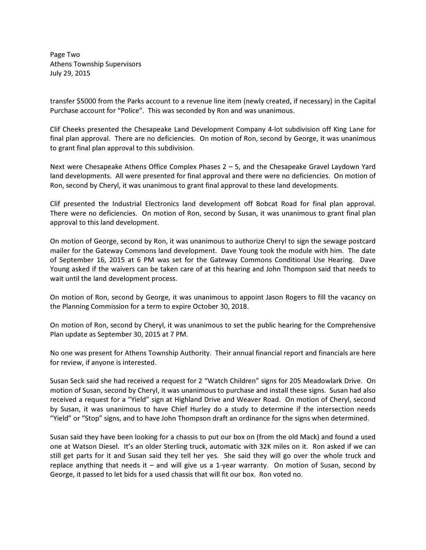Page Two Athens Township Supervisors July 29, 2015

transfer \$5000 from the Parks account to a revenue line item (newly created, if necessary) in the Capital Purchase account for "Police". This was seconded by Ron and was unanimous.

Clif Cheeks presented the Chesapeake Land Development Company 4-lot subdivision off King Lane for final plan approval. There are no deficiencies. On motion of Ron, second by George, it was unanimous to grant final plan approval to this subdivision.

Next were Chesapeake Athens Office Complex Phases 2 – 5, and the Chesapeake Gravel Laydown Yard land developments. All were presented for final approval and there were no deficiencies. On motion of Ron, second by Cheryl, it was unanimous to grant final approval to these land developments.

Clif presented the Industrial Electronics land development off Bobcat Road for final plan approval. There were no deficiencies. On motion of Ron, second by Susan, it was unanimous to grant final plan approval to this land development.

On motion of George, second by Ron, it was unanimous to authorize Cheryl to sign the sewage postcard mailer for the Gateway Commons land development. Dave Young took the module with him. The date of September 16, 2015 at 6 PM was set for the Gateway Commons Conditional Use Hearing. Dave Young asked if the waivers can be taken care of at this hearing and John Thompson said that needs to wait until the land development process.

On motion of Ron, second by George, it was unanimous to appoint Jason Rogers to fill the vacancy on the Planning Commission for a term to expire October 30, 2018.

On motion of Ron, second by Cheryl, it was unanimous to set the public hearing for the Comprehensive Plan update as September 30, 2015 at 7 PM.

No one was present for Athens Township Authority. Their annual financial report and financials are here for review, if anyone is interested.

Susan Seck said she had received a request for 2 "Watch Children" signs for 205 Meadowlark Drive. On motion of Susan, second by Cheryl, it was unanimous to purchase and install these signs. Susan had also received a request for a "Yield" sign at Highland Drive and Weaver Road. On motion of Cheryl, second by Susan, it was unanimous to have Chief Hurley do a study to determine if the intersection needs "Yield" or "Stop" signs, and to have John Thompson draft an ordinance for the signs when determined.

Susan said they have been looking for a chassis to put our box on (from the old Mack) and found a used one at Watson Diesel. It's an older Sterling truck, automatic with 32K miles on it. Ron asked if we can still get parts for it and Susan said they tell her yes. She said they will go over the whole truck and replace anything that needs it – and will give us a 1-year warranty. On motion of Susan, second by George, it passed to let bids for a used chassis that will fit our box. Ron voted no.